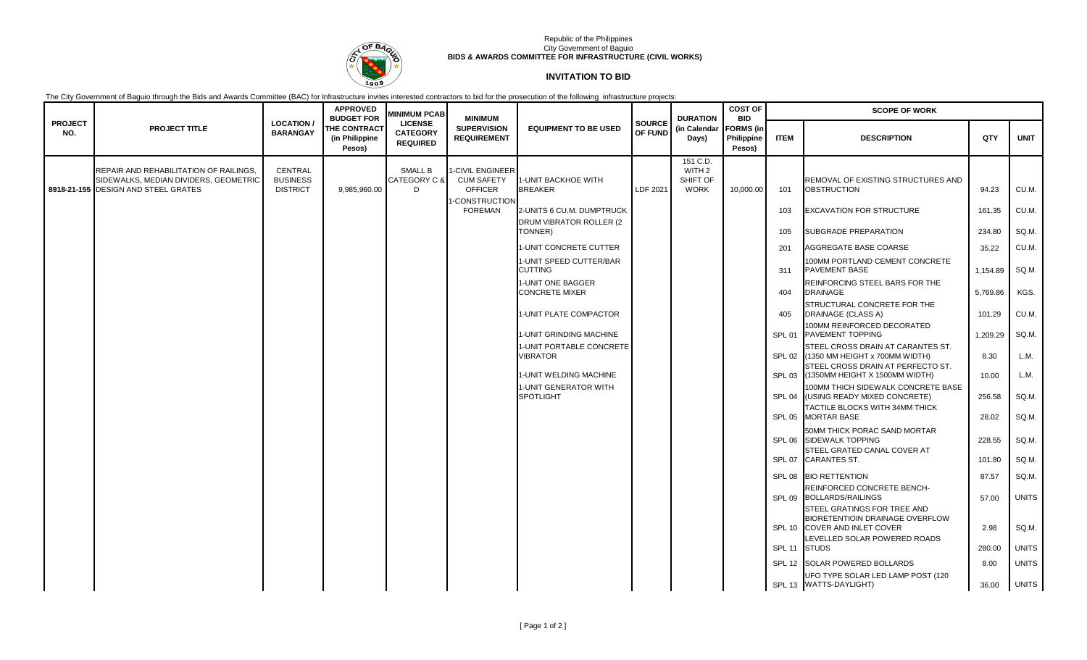

## Republic of the Philippines City Government of Baguio **BIDS & AWARDS COMMITTEE FOR INFRASTRUCTURE (CIVIL WORKS)**

## **INVITATION TO BID**

The City Government of Baguio through the Bids and Awards Committee (BAC) for Infrastructure invites interested contractors to bid for the prosecution of the following infrastructure projects:

| <b>PROJECT</b><br>NO. | <b>PROJECT TITLE</b>                                                                                                          | <b>LOCATION/</b><br><b>BARANGAY</b>           | <b>APPROVED</b><br><b>BUDGET FOR</b><br><b>THE CONTRACT</b><br>(in Philippine<br>Pesos) | <b>MINIMUM PCAB</b><br><b>LICENSE</b><br><b>CATEGORY</b><br><b>REQUIRED</b> | <b>MINIMUM</b><br><b>SUPERVISION</b><br><b>REQUIREMENT</b>     | <b>EQUIPMENT TO BE USED</b>                 | <b>SOURCE</b><br>OF FUND | <b>DURATION</b><br>(in Calendar<br>Days)     | <b>COST OF</b><br><b>BID</b><br><b>FORMS</b> (in<br>Philippine<br>Pesos) | <b>SCOPE OF WORK</b> |                                                                                                                 |          |              |
|-----------------------|-------------------------------------------------------------------------------------------------------------------------------|-----------------------------------------------|-----------------------------------------------------------------------------------------|-----------------------------------------------------------------------------|----------------------------------------------------------------|---------------------------------------------|--------------------------|----------------------------------------------|--------------------------------------------------------------------------|----------------------|-----------------------------------------------------------------------------------------------------------------|----------|--------------|
|                       |                                                                                                                               |                                               |                                                                                         |                                                                             |                                                                |                                             |                          |                                              |                                                                          | <b>ITEM</b>          | <b>DESCRIPTION</b>                                                                                              | QTY      | <b>UNIT</b>  |
|                       |                                                                                                                               |                                               |                                                                                         |                                                                             |                                                                |                                             |                          | 151 C.D.                                     |                                                                          |                      |                                                                                                                 |          |              |
|                       | <b>REPAIR AND REHABILITATION OF RAILINGS.</b><br>SIDEWALKS, MEDIAN DIVIDERS, GEOMETRIC<br>8918-21-155 DESIGN AND STEEL GRATES | CENTRAL<br><b>BUSINESS</b><br><b>DISTRICT</b> | 9,985,960.00                                                                            | SMALL B<br>CATEGORY C &<br>D.                                               | <b>I-CIVIL ENGINEER</b><br><b>CUM SAFETY</b><br><b>OFFICER</b> | 1-UNIT BACKHOE WITH<br><b>BREAKER</b>       | LDF 2021                 | WITH <sub>2</sub><br>SHIFT OF<br><b>WORK</b> | 10,000.00                                                                | 101                  | REMOVAL OF EXISTING STRUCTURES AND<br><b>OBSTRUCTION</b>                                                        | 94.23    | CU.M.        |
|                       |                                                                                                                               |                                               |                                                                                         |                                                                             | -CONSTRUCTION<br><b>FOREMAN</b>                                | 2-UNITS 6 CU.M. DUMPTRUCK                   |                          |                                              |                                                                          | 103                  | <b>EXCAVATION FOR STRUCTURE</b>                                                                                 | 161.35   | CU.M.        |
|                       |                                                                                                                               |                                               |                                                                                         |                                                                             |                                                                | DRUM VIBRATOR ROLLER (2)<br>TONNER)         |                          |                                              |                                                                          | 105                  | <b>SUBGRADE PREPARATION</b>                                                                                     | 234.80   | SQ.M.        |
|                       |                                                                                                                               |                                               |                                                                                         |                                                                             |                                                                | 1-UNIT CONCRETE CUTTER                      |                          |                                              |                                                                          | 201                  | AGGREGATE BASE COARSE                                                                                           | 35.22    | CU.M.        |
|                       |                                                                                                                               |                                               |                                                                                         |                                                                             |                                                                | 1-UNIT SPEED CUTTER/BAR<br><b>CUTTING</b>   |                          |                                              |                                                                          | 311                  | 100MM PORTLAND CEMENT CONCRETE<br><b>PAVEMENT BASE</b>                                                          | 1,154.89 | SQ.M.        |
|                       |                                                                                                                               |                                               |                                                                                         |                                                                             |                                                                | 1-UNIT ONE BAGGER<br><b>CONCRETE MIXER</b>  |                          |                                              |                                                                          | 404                  | REINFORCING STEEL BARS FOR THE<br><b>DRAINAGE</b>                                                               | 5,769.86 | KGS.         |
|                       |                                                                                                                               |                                               |                                                                                         |                                                                             |                                                                | 1-UNIT PLATE COMPACTOR                      |                          |                                              |                                                                          | 405                  | STRUCTURAL CONCRETE FOR THE<br>DRAINAGE (CLASS A)                                                               | 101.29   | CU.M.        |
|                       |                                                                                                                               |                                               |                                                                                         |                                                                             |                                                                | 1-UNIT GRINDING MACHINE                     |                          |                                              |                                                                          | SPL <sub>01</sub>    | 100MM REINFORCED DECORATED<br><b>PAVEMENT TOPPING</b>                                                           | 1,209.29 | SQ.M.        |
|                       |                                                                                                                               |                                               |                                                                                         |                                                                             |                                                                | 1-UNIT PORTABLE CONCRETE<br><b>VIBRATOR</b> |                          |                                              |                                                                          |                      | STEEL CROSS DRAIN AT CARANTES ST.<br>SPL 02 (1350 MM HEIGHT x 700MM WIDTH)<br>STEEL CROSS DRAIN AT PERFECTO ST. | 8.30     | L.M.         |
|                       |                                                                                                                               |                                               |                                                                                         |                                                                             |                                                                | 1-UNIT WELDING MACHINE                      |                          |                                              |                                                                          |                      | SPL 03 (1350MM HEIGHT X 1500MM WIDTH)                                                                           | 10.00    | L.M.         |
|                       |                                                                                                                               |                                               |                                                                                         |                                                                             |                                                                | 1-UNIT GENERATOR WITH<br><b>SPOTLIGHT</b>   |                          |                                              |                                                                          |                      | 100MM THICH SIDEWALK CONCRETE BASE<br>SPL 04   (USING READY MIXED CONCRETE)                                     | 256.58   | SQ.M.        |
|                       |                                                                                                                               |                                               |                                                                                         |                                                                             |                                                                |                                             |                          |                                              |                                                                          |                      | TACTILE BLOCKS WITH 34MM THICK<br>SPL 05 MORTAR BASE                                                            | 28.02    | SQ.M.        |
|                       |                                                                                                                               |                                               |                                                                                         |                                                                             |                                                                |                                             |                          |                                              |                                                                          |                      | 50MM THICK PORAC SAND MORTAR<br>SPL 06 SIDEWALK TOPPING                                                         | 228.55   | SQ.M.        |
|                       |                                                                                                                               |                                               |                                                                                         |                                                                             |                                                                |                                             |                          |                                              |                                                                          |                      | STEEL GRATED CANAL COVER AT<br>SPL 07 CARANTES ST.                                                              | 101.80   | SQ.M.        |
|                       |                                                                                                                               |                                               |                                                                                         |                                                                             |                                                                |                                             |                          |                                              |                                                                          |                      | SPL 08 BIO RETTENTION                                                                                           | 87.57    | SQ.M.        |
|                       |                                                                                                                               |                                               |                                                                                         |                                                                             |                                                                |                                             |                          |                                              |                                                                          |                      | REINFORCED CONCRETE BENCH-<br>SPL 09 BOLLARDS/RAILINGS                                                          | 57.00    | <b>UNITS</b> |
|                       |                                                                                                                               |                                               |                                                                                         |                                                                             |                                                                |                                             |                          |                                              |                                                                          |                      | STEEL GRATINGS FOR TREE AND<br><b>BIORETENTIOIN DRAINAGE OVERFLOW</b><br>SPL 10 COVER AND INLET COVER           | 2.98     | SQ.M.        |
|                       |                                                                                                                               |                                               |                                                                                         |                                                                             |                                                                |                                             |                          |                                              |                                                                          | SPL <sub>11</sub>    | LEVELLED SOLAR POWERED ROADS<br><b>STUDS</b>                                                                    | 280.00   | <b>UNITS</b> |
|                       |                                                                                                                               |                                               |                                                                                         |                                                                             |                                                                |                                             |                          |                                              |                                                                          |                      | SPL 12 SOLAR POWERED BOLLARDS                                                                                   | 8.00     | <b>UNITS</b> |
|                       |                                                                                                                               |                                               |                                                                                         |                                                                             |                                                                |                                             |                          |                                              |                                                                          |                      | UFO TYPE SOLAR LED LAMP POST (120<br>SPL 13 WATTS-DAYLIGHT)                                                     | 36.00    | <b>UNITS</b> |